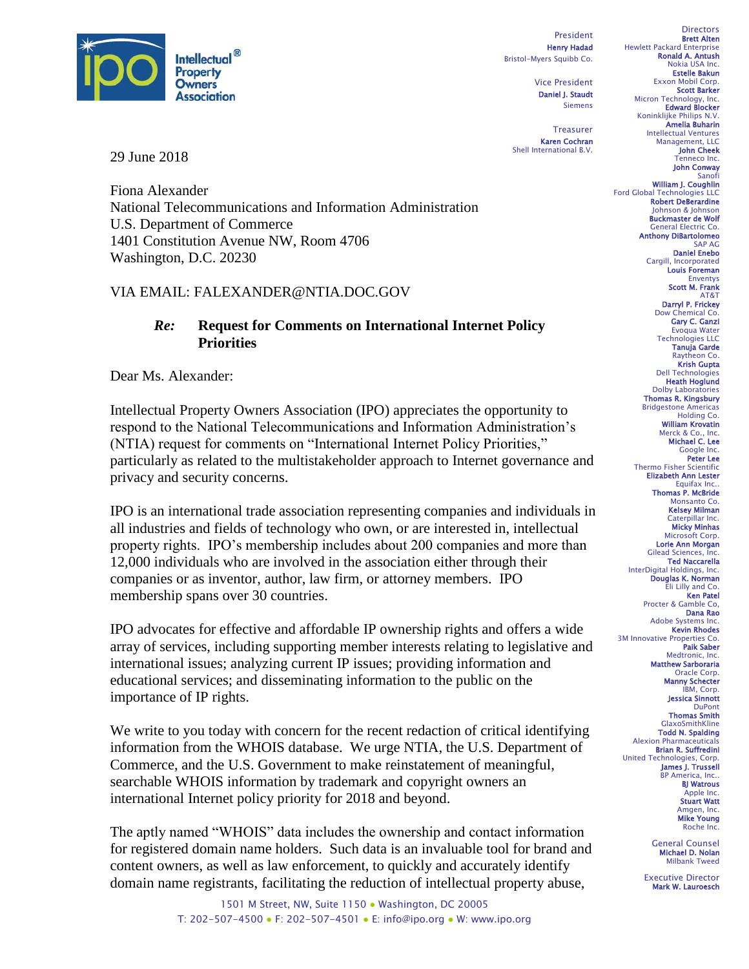

29 June 2018

Fiona Alexander National Telecommunications and Information Administration U.S. Department of Commerce 1401 Constitution Avenue NW, Room 4706 Washington, D.C. 20230

## VIA EMAIL: FALEXANDER@NTIA.DOC.GOV

## *Re:* **Request for Comments on International Internet Policy Priorities**

Dear Ms. Alexander:

Intellectual Property Owners Association (IPO) appreciates the opportunity to respond to the National Telecommunications and Information Administration's (NTIA) request for comments on "International Internet Policy Priorities," particularly as related to the multistakeholder approach to Internet governance and privacy and security concerns.

IPO is an international trade association representing companies and individuals in all industries and fields of technology who own, or are interested in, intellectual property rights. IPO's membership includes about 200 companies and more than 12,000 individuals who are involved in the association either through their companies or as inventor, author, law firm, or attorney members. IPO membership spans over 30 countries.

IPO advocates for effective and affordable IP ownership rights and offers a wide array of services, including supporting member interests relating to legislative and international issues; analyzing current IP issues; providing information and educational services; and disseminating information to the public on the importance of IP rights.

We write to you today with concern for the recent redaction of critical identifying information from the WHOIS database. We urge NTIA, the U.S. Department of Commerce, and the U.S. Government to make reinstatement of meaningful, searchable WHOIS information by trademark and copyright owners an international Internet policy priority for 2018 and beyond.

The aptly named "WHOIS" data includes the ownership and contact information for registered domain name holders. Such data is an invaluable tool for brand and content owners, as well as law enforcement, to quickly and accurately identify domain name registrants, facilitating the reduction of intellectual property abuse,

President Henry Hadad Bristol-Myers Squibb Co.

> Vice President Daniel J. Staudt Siemens

Treasurer Karen Cochran Shell International B.V.

**Directors** Brett Alten Hewlett Packard Enterprise Ronald A. Antush Nokia USA Inc. Estelle Bakun Exxon Mobil Corp. Scott Barker Micron Technology, Inc.<br>**Edward Blocker** Koninklijke Philips N.V. Amelia Buharin Intellectual Ventures Management, LLC John Cheek Tenneco Inc.

John Conway Sanofi William J. Coughlin

Ford Global Technologies LLC Robert DeBerardine Johnson & Johnson Buckmaster de Wolf General Electric Co. Anthony DiBartolomeo SAP AG

Daniel Enebo Cargill, Incorporated Louis Foreman Enventys Scott M. Frank

AT&T Darryl P. Frickey Dow Chemical Co. Gary C. Ganzi

Evoqua Water Technologies LLC Tanuja Garde Raytheon Co. Krish Gupta Dell Technologies Heath Hoglund Dolby Laboratories Thomas R. Kingsbury Bridgestone Americas Holding Co. William Krovatin Merck & Co., Inc.<br>**Michael C. Lee**<br>Google Inc. Peter Lee Thermo Fisher Scientific Elizabeth Ann Lester Equifax Inc. **Thomas P. McBride**<br>Monsanto Co.

Kelsey Milman Caterpillar Inc. Micky Minhas

Microsoft Corp. Lorie Ann Morgan Gilead Sciences, Inc. Ted Naccarella

InterDigital Holdings, Inc. Douglas K. Norman Eli Lilly and Co. Ken Patel

Procter & Gamble Co, Dana Rao Adobe Systems Inc. Kevin Rhodes 3M Innovative Properties Co. Paik Saber

Medtronic, Inc. Matthew Sarboraria Oracle Corp. Manny Schecter IBM, Corp.

Jessica Sinnott **DuPont** Thomas Smith

GlaxoSmithKline Todd N. Spalding Alexion Pharmaceuticals Brian R. Suffredini United Technologies, Corp. James J. Trussell BP America, Inc.. BJ Watrous Apple Inc. Stuart Watt Amgen, Inc.<br>**Mike Young** Roche Inc.

> General Counsel Michael D. Nolan Milbank Tweed

Executive Director Mark W. Lauroesch